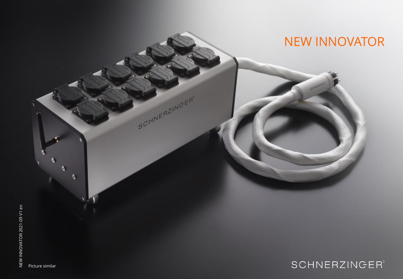

Picture similar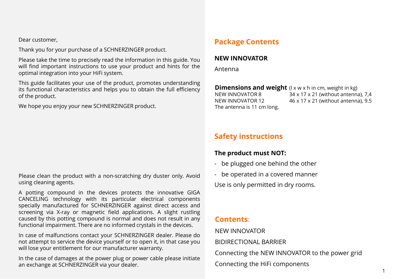Dear customer,

Thank you for your purchase of a SCHNERZINGER product.

Please take the time to precisely read the information in this guide. You will find important instructions to use your product and hints for the optimal integration into your HiFi system.

This guide facilitates your use of the product, promotes understanding its functional characteristics and helps you to obtain the full efficiency of the product.

We hope you enjoy your new SCHNERZINGER product.

#### Please clean the product with a non-scratching dry duster only. Avoid using cleaning agents.

A potting compound in the devices protects the innovative GIGA CANCELING technology with its particular electrical components specially manufactured for SCHNERZINGER against direct access and screening via X-ray or magnetic field applications. A slight rustling caused by this potting compound is normal and does not result in any functional impairment. There are no informed crystals in the devices.

In case of malfunctions contact your SCHNERZINGER dealer. Please do not attempt to service the device yourself or to open it, in that case you will lose your entitlement for our manufacturer warranty.

In the case of damages at the power plug or power cable please initiate an exchange at SCHNERZINGER via your dealer.

# **Package Contents**

#### **NEW INNOVATOR**

Antenna

**Dimensions and weight** (I x w x h in cm, weight in kg) NEW INNOVATOR 8 34 x 17 x 21 (without antenna), 7,4 NEW INNOVATOR 12 46 x 17 x 21 (without antenna), 9.5 The antenna is 11 cm long.

# **Safety instructions**

### **The product must NOT:**

- be plugged one behind the other
- be operated in a covered manner

Use is only permitted in dry rooms.

## **Contents**:

NEW INNOVATOR

BIDIRECTIONAL BARRIER

Connecting the NEW INNOVATOR to the power grid

Connecting the HiFi components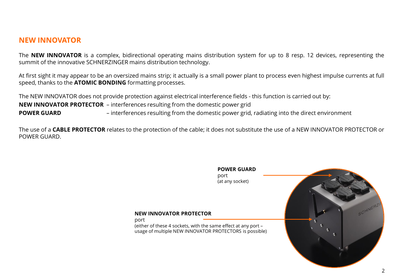### **NEW INNOVATOR**

The **NEW INNOVATOR** is a complex, bidirectional operating mains distribution system for up to 8 resp. 12 devices, representing the summit of the innovative SCHNERZINGER mains distribution technology.

At first sight it may appear to be an oversized mains strip; it actually is a small power plant to process even highest impulse currents at full speed, thanks to the **ATOMIC BONDING** formatting processes.

The NEW INNOVATOR does not provide protection against electrical interference fields - this function is carried out by: **NEW INNOVATOR PROTECTOR** – interferences resulting from the domestic power grid **POWER GUARD** – interferences resulting from the domestic power grid, radiating into the direct environment

port

The use of a **CABLE PROTECTOR** relates to the protection of the cable; it does not substitute the use of a NEW INNOVATOR PROTECTOR or POWER GUARD.

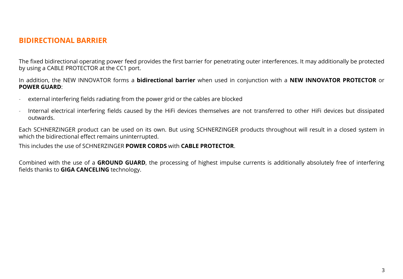### **BIDIRECTIONAL BARRIER**

The fixed bidirectional operating power feed provides the first barrier for penetrating outer interferences. It may additionally be protected by using a CABLE PROTECTOR at the CC1 port.

In addition, the NEW INNOVATOR forms a **bidirectional barrier** when used in conjunction with a **NEW INNOVATOR PROTECTOR** or **POWER GUARD**:

- external interfering fields radiating from the power grid or the cables are blocked
- Internal electrical interfering fields caused by the HiFi devices themselves are not transferred to other HiFi devices but dissipated outwards.

Each SCHNERZINGER product can be used on its own. But using SCHNERZINGER products throughout will result in a closed system in which the bidirectional effect remains uninterrupted.

This includes the use of SCHNERZINGER **POWER CORDS** with **CABLE PROTECTOR**.

Combined with the use of a **GROUND GUARD**, the processing of highest impulse currents is additionally absolutely free of interfering fields thanks to **GIGA CANCELING** technology.